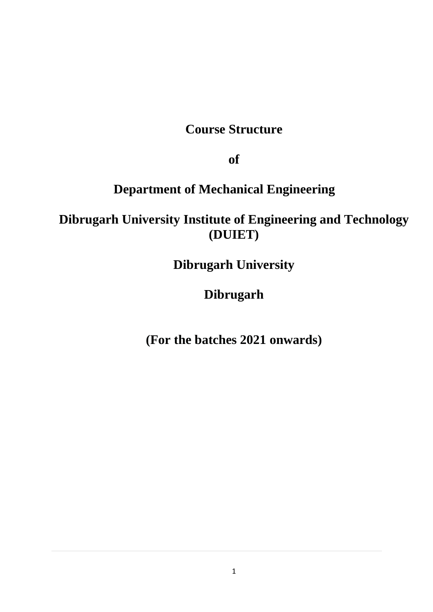## **Course Structure**

**of**

# **Department of Mechanical Engineering**

**Dibrugarh University Institute of Engineering and Technology (DUIET)**

**Dibrugarh University**

**Dibrugarh**

**(For the batches 2021 onwards)**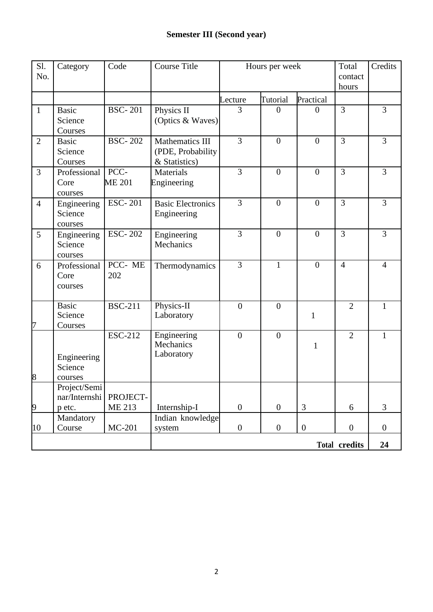| Sl.<br>No.     | Category                                | Code                      | Course Title                                          | Hours per week   |                  |                | Total<br>contact<br>hours | Credits        |
|----------------|-----------------------------------------|---------------------------|-------------------------------------------------------|------------------|------------------|----------------|---------------------------|----------------|
|                |                                         |                           |                                                       | Lecture          | Tutorial         | Practical      |                           |                |
| $\mathbf{1}$   | <b>Basic</b><br>Science<br>Courses      | <b>BSC-201</b>            | Physics II<br>(Optics & Waves)                        | 3                | $\theta$         | $\Omega$       | $\overline{3}$            | $\overline{3}$ |
| $\overline{2}$ | <b>Basic</b><br>Science<br>Courses      | <b>BSC-202</b>            | Mathematics III<br>(PDE, Probability<br>& Statistics) | $\overline{3}$   | $\overline{0}$   | $\overline{0}$ | $\overline{3}$            | $\overline{3}$ |
| 3              | Professional<br>Core<br>courses         | PCC-<br><b>ME 201</b>     | Materials<br>Engineering                              | $\overline{3}$   | $\overline{0}$   | $\overline{0}$ | 3                         | $\overline{3}$ |
| $\overline{4}$ | Engineering<br>Science<br>courses       | <b>ESC-201</b>            | <b>Basic Electronics</b><br>Engineering               | $\overline{3}$   | $\overline{0}$   | $\overline{0}$ | $\overline{3}$            | $\overline{3}$ |
| 5              | Engineering<br>Science<br>courses       | <b>ESC-202</b>            | Engineering<br>Mechanics                              | 3                | $\overline{0}$   | $\overline{0}$ | $\overline{3}$            | 3              |
| 6              | Professional<br>Core<br>courses         | PCC-ME<br>202             | Thermodynamics                                        | $\overline{3}$   | $\mathbf{1}$     | $\overline{0}$ | $\overline{4}$            | $\overline{4}$ |
| 7              | <b>Basic</b><br>Science<br>Courses      | <b>BSC-211</b>            | Physics-II<br>Laboratory                              | $\overline{0}$   | $\overline{0}$   | $\mathbf{1}$   | $\overline{2}$            | 1              |
| 8              | Engineering<br>Science<br>courses       | <b>ESC-212</b>            | Engineering<br>Mechanics<br>Laboratory                | $\boldsymbol{0}$ | $\overline{0}$   | $\mathbf{1}$   | $\overline{2}$            | $\mathbf{1}$   |
| 9              | Project/Semi<br>nar/Internshi<br>p etc. | PROJECT-<br><b>ME 213</b> | Internship-I                                          | $\overline{0}$   | $\overline{0}$   | 3              | 6                         | $\overline{3}$ |
| 10             | Mandatory<br>Course                     | MC-201                    | Indian knowledge<br>system                            | $\boldsymbol{0}$ | $\boldsymbol{0}$ | $\overline{0}$ | $\boldsymbol{0}$          | $\overline{0}$ |
|                | <b>Total credits</b>                    |                           |                                                       |                  |                  | 24             |                           |                |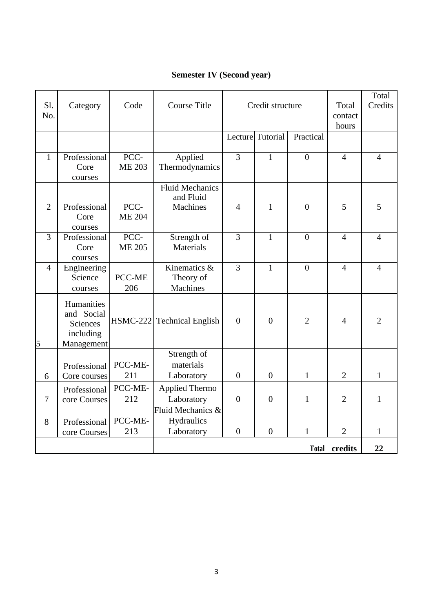## **Semester IV (Second year)**

| Sl.<br>No.     | Category                                                        | Code                  | <b>Course Title</b>                             | Credit structure |                  |                | Total<br>contact<br>hours | Total<br>Credits |
|----------------|-----------------------------------------------------------------|-----------------------|-------------------------------------------------|------------------|------------------|----------------|---------------------------|------------------|
|                |                                                                 |                       |                                                 |                  | Lecture Tutorial | Practical      |                           |                  |
| $\mathbf{1}$   | Professional<br>Core<br>courses                                 | PCC-<br><b>ME 203</b> | Applied<br>Thermodynamics                       | $\overline{3}$   | $\mathbf{1}$     | $\overline{0}$ | $\overline{4}$            | $\overline{4}$   |
| $\overline{2}$ | Professional<br>Core<br>courses                                 | PCC-<br><b>ME 204</b> | <b>Fluid Mechanics</b><br>and Fluid<br>Machines | 4                | $\mathbf{1}$     | $\overline{0}$ | 5                         | 5                |
| $\overline{3}$ | Professional<br>Core<br>courses                                 | PCC-<br><b>ME 205</b> | Strength of<br>Materials                        | $\overline{3}$   | $\mathbf{1}$     | $\overline{0}$ | $\overline{4}$            | $\overline{4}$   |
| $\overline{4}$ | Engineering<br>Science<br>courses                               | PCC-ME<br>206         | Kinematics $\&$<br>Theory of<br><b>Machines</b> | $\overline{3}$   | $\mathbf{1}$     | $\overline{0}$ | $\overline{4}$            | $\overline{4}$   |
| 5              | Humanities<br>and Social<br>Sciences<br>including<br>Management |                       | HSMC-222 Technical English                      | $\overline{0}$   | $\boldsymbol{0}$ | $\overline{2}$ | $\overline{4}$            | $\overline{2}$   |
| 6              | Professional<br>Core courses                                    | PCC-ME-<br>211        | Strength of<br>materials<br>Laboratory          | $\overline{0}$   | $\boldsymbol{0}$ | $\mathbf{1}$   | $\overline{2}$            | $\mathbf{1}$     |
| $\overline{7}$ | Professional<br>core Courses                                    | PCC-ME-<br>212        | <b>Applied Thermo</b><br>Laboratory             | $\overline{0}$   | $\overline{0}$   | $\mathbf{1}$   | $\overline{2}$            | $\mathbf{1}$     |
| 8              | Professional<br>core Courses                                    | PCC-ME-<br>213        | Fluid Mechanics &<br>Hydraulics<br>Laboratory   | $\overline{0}$   | $\overline{0}$   | $\mathbf{1}$   | $\overline{2}$            | $\mathbf{1}$     |
|                |                                                                 |                       |                                                 |                  |                  | <b>Total</b>   | credits                   | 22               |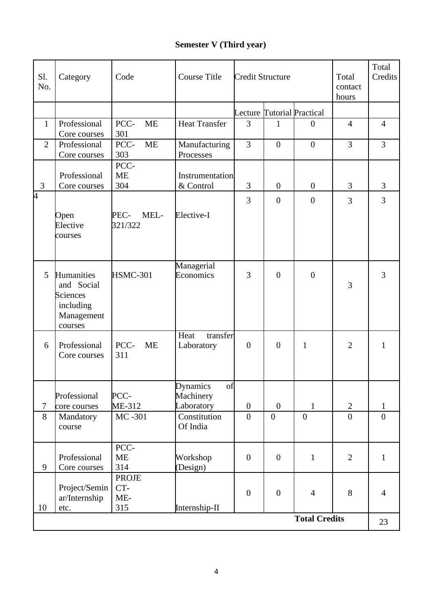### **Semester V (Third year)**

| Sl.<br>No.     | Category                                                                          | Code                                | <b>Course Title</b>                       | <b>Credit Structure</b> |                  |                            | Total<br>contact<br>hours | Total<br>Credits |
|----------------|-----------------------------------------------------------------------------------|-------------------------------------|-------------------------------------------|-------------------------|------------------|----------------------------|---------------------------|------------------|
|                |                                                                                   |                                     |                                           |                         |                  | Lecture Tutorial Practical |                           |                  |
| $\mathbf{1}$   | Professional<br>Core courses                                                      | PCC-<br><b>ME</b><br>301            | <b>Heat Transfer</b>                      | 3                       | 1                | $\Omega$                   | $\overline{4}$            | $\overline{4}$   |
| $\overline{2}$ | Professional<br>Core courses                                                      | PCC-<br><b>ME</b><br>303            | Manufacturing<br>Processes                | $\overline{3}$          | $\overline{0}$   | $\overline{0}$             | $\overline{3}$            | $\overline{3}$   |
| 3              | Professional<br>Core courses                                                      | PCC-<br><b>ME</b><br>304            | Instrumentation<br>& Control              | 3                       | $\mathbf{0}$     | $\mathbf{0}$               | 3                         | 3                |
| 4              | Open<br>Elective<br>courses                                                       | PEC-<br>MEL-<br>321/322             | Elective-I                                | 3                       | $\boldsymbol{0}$ | $\overline{0}$             | $\overline{3}$            | 3                |
| 5              | Humanities<br>and Social<br><b>Sciences</b><br>including<br>Management<br>courses | <b>HSMC-301</b>                     | Managerial<br>Economics                   | 3                       | $\overline{0}$   | $\overline{0}$             | 3                         | 3                |
| 6              | Professional<br>Core courses                                                      | PCC-<br><b>ME</b><br>311            | Heat<br>transfer<br>Laboratory            | $\overline{0}$          | $\boldsymbol{0}$ | $\mathbf{1}$               | $\overline{2}$            | $\mathbf{1}$     |
| $\overline{7}$ | Professional<br>core courses                                                      | PCC-<br>ME-312                      | Dynamics<br>ΟĪ<br>Machinery<br>Laboratory | $\boldsymbol{0}$        | $\boldsymbol{0}$ | $\mathbf{1}$               | $\overline{2}$            | $\mathbf{1}$     |
| 8              | Mandatory<br>course                                                               | MC-301                              | Constitution<br>Of India                  | $\overline{0}$          | $\overline{0}$   | $\overline{0}$             | $\overline{0}$            | $\overline{0}$   |
| 9              | Professional<br>Core courses                                                      | PCC-<br><b>ME</b><br>314            | Workshop<br>(Design)                      | $\boldsymbol{0}$        | $\boldsymbol{0}$ | $\mathbf{1}$               | $\overline{2}$            | $\mathbf{1}$     |
| 10             | Project/Semin<br>ar/Internship<br>etc.                                            | <b>PROJE</b><br>CT-<br>$ME-$<br>315 | Internship-II                             | $\boldsymbol{0}$        | $\boldsymbol{0}$ | $\overline{4}$             | 8                         | $\overline{4}$   |
|                |                                                                                   |                                     |                                           |                         |                  | <b>Total Credits</b>       |                           | 23               |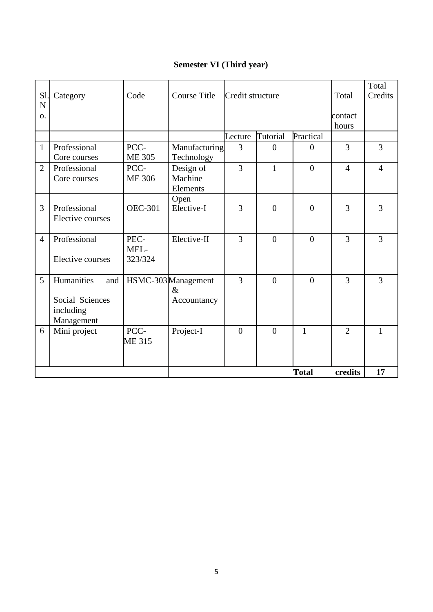## **Semester VI (Third year)**

| N<br>$\Omega$ .                              |                       |                             |                |                |                |                |                |
|----------------------------------------------|-----------------------|-----------------------------|----------------|----------------|----------------|----------------|----------------|
|                                              |                       |                             |                |                |                | contact        |                |
|                                              |                       |                             |                |                |                | hours          |                |
|                                              |                       |                             | Lecture        | Tutorial       | Practical      |                |                |
| Professional<br>$\mathbf{1}$<br>Core courses | PCC-<br><b>ME 305</b> | Manufacturing<br>Technology | 3              | $\overline{0}$ | $\Omega$       | 3              | $\overline{3}$ |
| Professional<br>$\overline{2}$               | PCC-                  |                             | 3              | 1              | $\overline{0}$ | $\overline{4}$ | $\overline{4}$ |
| Core courses                                 | <b>ME 306</b>         | Design of<br>Machine        |                |                |                |                |                |
|                                              |                       | Elements                    |                |                |                |                |                |
|                                              |                       | Open                        |                |                |                |                |                |
| Professional<br>3                            | <b>OEC-301</b>        | Elective-I                  | 3              | $\overline{0}$ | $\overline{0}$ | 3              | 3              |
| Elective courses                             |                       |                             |                |                |                |                |                |
|                                              |                       |                             |                |                |                |                |                |
| Professional<br>$\overline{4}$               | PEC-                  | Elective-II                 | 3              | $\overline{0}$ | $\theta$       | 3              | 3              |
|                                              | MEL-                  |                             |                |                |                |                |                |
| <b>Elective courses</b>                      | 323/324               |                             |                |                |                |                |                |
| 5<br>Humanities<br>and                       |                       | HSMC-303Management          | 3              | $\theta$       | $\theta$       | 3              | 3              |
|                                              |                       | $\&$                        |                |                |                |                |                |
| Social Sciences                              |                       | Accountancy                 |                |                |                |                |                |
| including                                    |                       |                             |                |                |                |                |                |
| Management                                   |                       |                             |                |                |                |                |                |
| 6<br>Mini project                            | PCC-                  | Project-I                   | $\overline{0}$ | $\theta$       | $\mathbf{1}$   | $\overline{2}$ |                |
|                                              | <b>ME 315</b>         |                             |                |                |                |                |                |
|                                              |                       |                             |                |                |                |                |                |
|                                              |                       |                             |                |                | <b>Total</b>   | credits        | 17             |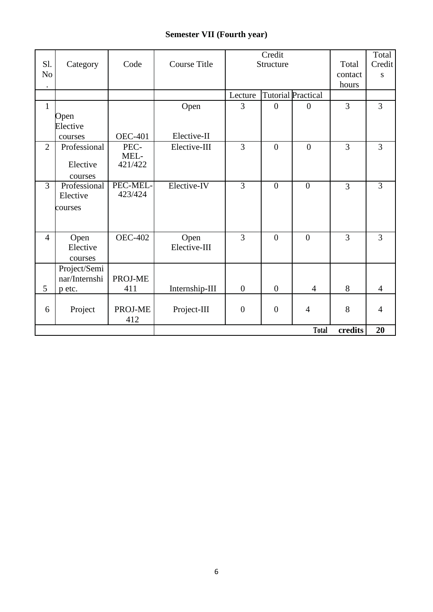### **Semester VII (Fourth year)**

| Sl.<br>N <sub>o</sub><br>$\bullet$ | Category      | Code            | <b>Course Title</b> | Credit<br>Structure |                  | Total<br>contact<br>hours | Total<br>Credit<br>S |                |
|------------------------------------|---------------|-----------------|---------------------|---------------------|------------------|---------------------------|----------------------|----------------|
|                                    |               |                 |                     | Lecture             |                  | <b>Tutorial Practical</b> |                      |                |
| $\mathbf{1}$                       |               |                 | Open                | 3                   | $\Omega$         | $\Omega$                  | $\overline{3}$       | $\overline{3}$ |
|                                    | Open          |                 |                     |                     |                  |                           |                      |                |
|                                    | Elective      |                 |                     |                     |                  |                           |                      |                |
|                                    | courses       | <b>OEC-401</b>  | Elective-II         |                     |                  |                           |                      |                |
| $\overline{2}$                     | Professional  | PEC-            | Elective-III        | 3                   | $\boldsymbol{0}$ | $\boldsymbol{0}$          | $\overline{3}$       | 3              |
|                                    | Elective      | MEL-<br>421/422 |                     |                     |                  |                           |                      |                |
|                                    | courses       |                 |                     |                     |                  |                           |                      |                |
| $\overline{3}$                     | Professional  | PEC-MEL-        | Elective-IV         | $\overline{3}$      | $\boldsymbol{0}$ | $\mathbf{0}$              | $\overline{3}$       | $\overline{3}$ |
|                                    | Elective      | 423/424         |                     |                     |                  |                           |                      |                |
|                                    | courses       |                 |                     |                     |                  |                           |                      |                |
|                                    |               |                 |                     |                     |                  |                           |                      |                |
|                                    |               |                 |                     |                     |                  |                           |                      |                |
| $\overline{4}$                     | Open          | <b>OEC-402</b>  | Open                | 3                   | $\overline{0}$   | $\overline{0}$            | $\overline{3}$       | 3              |
|                                    | Elective      |                 | Elective-III        |                     |                  |                           |                      |                |
|                                    | courses       |                 |                     |                     |                  |                           |                      |                |
|                                    | Project/Semi  |                 |                     |                     |                  |                           |                      |                |
|                                    | nar/Internshi | PROJ-ME         |                     |                     |                  |                           |                      |                |
| 5                                  | p etc.        | 411             | Internship-III      | $\boldsymbol{0}$    | $\overline{0}$   | $\overline{4}$            | 8                    | $\overline{4}$ |
|                                    |               | PROJ-ME         |                     | $\boldsymbol{0}$    | $\overline{0}$   | $\overline{4}$            | 8                    | $\overline{4}$ |
| 6                                  | Project       | 412             | Project-III         |                     |                  |                           |                      |                |
|                                    |               |                 |                     |                     |                  | <b>Total</b>              | credits              | 20             |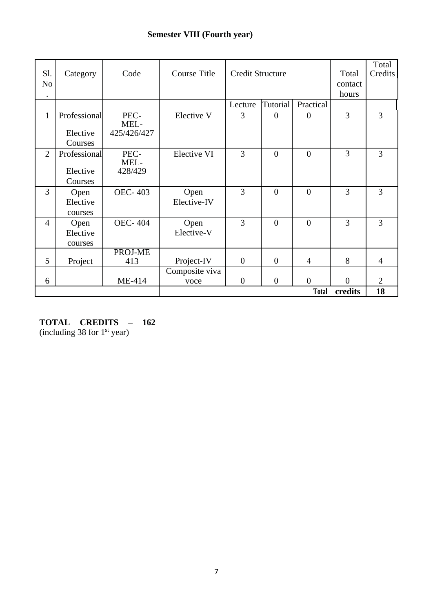### **Semester VIII (Fourth year)**

| Sl.<br>N <sub>0</sub> | Category                            | Code                        | <b>Course Title</b>    | <b>Credit Structure</b> |                | Total<br>contact<br>hours | Total<br>Credits |                |
|-----------------------|-------------------------------------|-----------------------------|------------------------|-------------------------|----------------|---------------------------|------------------|----------------|
|                       |                                     |                             |                        | Lecture                 | Tutorial       | Practical                 |                  |                |
| $\mathbf{1}$          | Professional<br>Elective<br>Courses | PEC-<br>MEL-<br>425/426/427 | Elective V             | 3                       | $\overline{0}$ | $\overline{0}$            | 3                | $\overline{3}$ |
| $\overline{2}$        | Professional<br>Elective<br>Courses | PEC-<br>MEL-<br>428/429     | <b>Elective VI</b>     | $\overline{3}$          | $\overline{0}$ | $\overline{0}$            | 3                | 3              |
| 3                     | Open<br>Elective<br>courses         | <b>OEC-403</b>              | Open<br>Elective-IV    | $\overline{3}$          | $\overline{0}$ | $\overline{0}$            | 3                | 3              |
| $\overline{4}$        | Open<br>Elective<br>courses         | <b>OEC-404</b>              | Open<br>Elective-V     | $\overline{3}$          | $\overline{0}$ | $\overline{0}$            | 3                | 3              |
| $5\overline{)}$       | Project                             | PROJ-ME<br>413              | Project-IV             | $\overline{0}$          | $\overline{0}$ | 4                         | 8                | $\overline{4}$ |
| 6                     |                                     | ME-414                      | Composite viva<br>voce | $\boldsymbol{0}$        | $\theta$       | $\overline{0}$            | $\theta$         | $\overline{2}$ |
| <b>Total</b>          |                                     |                             |                        |                         |                | credits                   | 18               |                |

**TOTAL CREDITS – 162**

(including 38 for  $1<sup>st</sup>$  year)